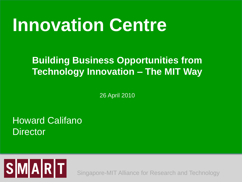# **Innovation Centre**

#### **Building Business Opportunities from Technology Innovation – The MIT Way**

26 April 2010

Howard Califano **Director** 



Singapore-MIT Alliance for Research and Technology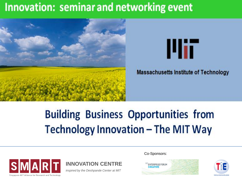## Innovation: seminar and networking event





**Massachusetts Institute of Technology** 

# **Building Business Opportunities from Technology Innovation - The MIT Way**





*inspired by the Deshpande Center at MIT*

Co-Sponsors:



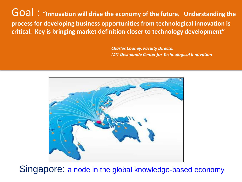Goal : **"Innovation will drive the economy of the future. Understanding the process for developing business opportunities from technological innovation is critical. Key is bringing market definition closer to technology development"** 

> *Charles Cooney, Faculty Director MIT Deshpande Center for Technological Innovation*



Singapore: a node in the global knowledge-based economy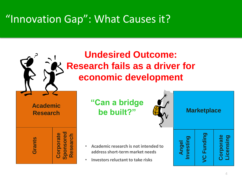### "Innovation Gap": What Causes it?



4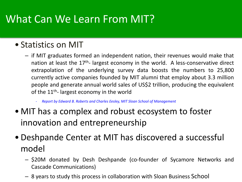### What Can We Learn From MIT?

#### • Statistics on MIT

- if MIT graduates formed an independent nation, their revenues would make that nation at least the 17<sup>th</sup>- largest economy in the world. A less-conservative direct extrapolation of the underlying survey data boosts the numbers to 25,800 currently active companies founded by MIT alumni that employ about 3.3 million people and generate annual world sales of US\$2 trillion, producing the equivalent of the 11<sup>th</sup>- largest economy in the world
	- *Report by Edward B. Roberts and Charles Eesley, MIT Sloan School of Management*
- MIT has a complex and robust ecosystem to foster innovation and entrepreneurship
- Deshpande Center at MIT has discovered a successful model
	- \$20M donated by Desh Deshpande (co-founder of Sycamore Networks and Cascade Communications)
	- 8 years to study this process in collaboration with Sloan Business School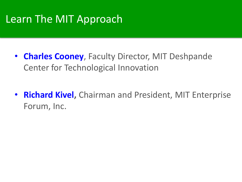#### Learn The MIT Approach

- **Charles Cooney**, Faculty Director, MIT Deshpande Center for Technological Innovation
- **Richard Kivel,** Chairman and President, MIT Enterprise Forum, Inc.